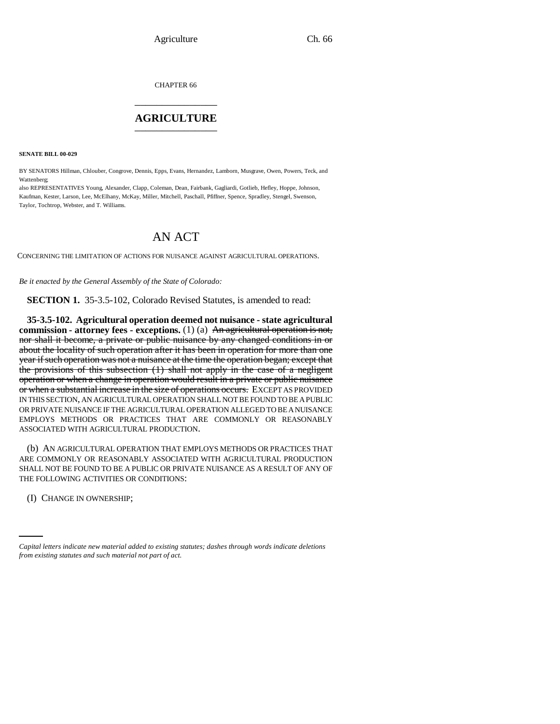CHAPTER 66 \_\_\_\_\_\_\_\_\_\_\_\_\_\_\_

## **AGRICULTURE** \_\_\_\_\_\_\_\_\_\_\_\_\_\_\_

**SENATE BILL 00-029** 

BY SENATORS Hillman, Chlouber, Congrove, Dennis, Epps, Evans, Hernandez, Lamborn, Musgrave, Owen, Powers, Teck, and Wattenberg;

also REPRESENTATIVES Young, Alexander, Clapp, Coleman, Dean, Fairbank, Gagliardi, Gotlieb, Hefley, Hoppe, Johnson, Kaufman, Kester, Larson, Lee, McElhany, McKay, Miller, Mitchell, Paschall, Pfiffner, Spence, Spradley, Stengel, Swenson, Taylor, Tochtrop, Webster, and T. Williams.

## AN ACT

CONCERNING THE LIMITATION OF ACTIONS FOR NUISANCE AGAINST AGRICULTURAL OPERATIONS.

*Be it enacted by the General Assembly of the State of Colorado:*

**SECTION 1.** 35-3.5-102, Colorado Revised Statutes, is amended to read:

**35-3.5-102. Agricultural operation deemed not nuisance - state agricultural commission - attorney fees - exceptions.** (1) (a) An agricultural operation is not, nor shall it become, a private or public nuisance by any changed conditions in or about the locality of such operation after it has been in operation for more than one year if such operation was not a nuisance at the time the operation began; except that the provisions of this subsection (1) shall not apply in the case of a negligent operation or when a change in operation would result in a private or public nuisance or when a substantial increase in the size of operations occurs. EXCEPT AS PROVIDED IN THIS SECTION, AN AGRICULTURAL OPERATION SHALL NOT BE FOUND TO BE A PUBLIC OR PRIVATE NUISANCE IF THE AGRICULTURAL OPERATION ALLEGED TO BE A NUISANCE EMPLOYS METHODS OR PRACTICES THAT ARE COMMONLY OR REASONABLY ASSOCIATED WITH AGRICULTURAL PRODUCTION.

(b) AN AGRICULTURAL OPERATION THAT EMPLOYS METHODS OR PRACTICES THAT ARE COMMONLY OR REASONABLY ASSOCIATED WITH AGRICULTURAL PRODUCTION SHALL NOT BE FOUND TO BE A PUBLIC OR PRIVATE NUISANCE AS A RESULT OF ANY OF THE FOLLOWING ACTIVITIES OR CONDITIONS:

 (I) CHANGE IN OWNERSHIP;

*Capital letters indicate new material added to existing statutes; dashes through words indicate deletions from existing statutes and such material not part of act.*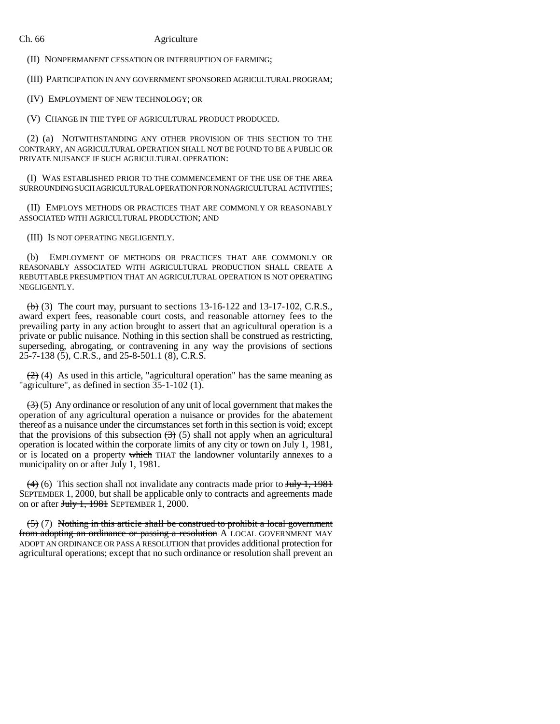## Ch. 66 Agriculture

(II) NONPERMANENT CESSATION OR INTERRUPTION OF FARMING;

(III) PARTICIPATION IN ANY GOVERNMENT SPONSORED AGRICULTURAL PROGRAM;

(IV) EMPLOYMENT OF NEW TECHNOLOGY; OR

(V) CHANGE IN THE TYPE OF AGRICULTURAL PRODUCT PRODUCED.

(2) (a) NOTWITHSTANDING ANY OTHER PROVISION OF THIS SECTION TO THE CONTRARY, AN AGRICULTURAL OPERATION SHALL NOT BE FOUND TO BE A PUBLIC OR PRIVATE NUISANCE IF SUCH AGRICULTURAL OPERATION:

(I) WAS ESTABLISHED PRIOR TO THE COMMENCEMENT OF THE USE OF THE AREA SURROUNDING SUCH AGRICULTURAL OPERATION FOR NONAGRICULTURAL ACTIVITIES;

(II) EMPLOYS METHODS OR PRACTICES THAT ARE COMMONLY OR REASONABLY ASSOCIATED WITH AGRICULTURAL PRODUCTION; AND

(III) IS NOT OPERATING NEGLIGENTLY.

(b) EMPLOYMENT OF METHODS OR PRACTICES THAT ARE COMMONLY OR REASONABLY ASSOCIATED WITH AGRICULTURAL PRODUCTION SHALL CREATE A REBUTTABLE PRESUMPTION THAT AN AGRICULTURAL OPERATION IS NOT OPERATING NEGLIGENTLY.

 $\left(\frac{b}{b}\right)$  (3) The court may, pursuant to sections 13-16-122 and 13-17-102, C.R.S., award expert fees, reasonable court costs, and reasonable attorney fees to the prevailing party in any action brought to assert that an agricultural operation is a private or public nuisance. Nothing in this section shall be construed as restricting, superseding, abrogating, or contravening in any way the provisions of sections 25-7-138 (5), C.R.S., and 25-8-501.1 (8), C.R.S.

 $(2)$  (4) As used in this article, "agricultural operation" has the same meaning as "agriculture", as defined in section 35-1-102 (1).

 $\left(\frac{3}{2}\right)$  (5) Any ordinance or resolution of any unit of local government that makes the operation of any agricultural operation a nuisance or provides for the abatement thereof as a nuisance under the circumstances set forth in this section is void; except that the provisions of this subsection  $(3)$  (5) shall not apply when an agricultural operation is located within the corporate limits of any city or town on July 1, 1981, or is located on a property which THAT the landowner voluntarily annexes to a municipality on or after July 1, 1981.

 $(4)$  (6) This section shall not invalidate any contracts made prior to July 1, 1981 SEPTEMBER 1, 2000, but shall be applicable only to contracts and agreements made on or after  $J_{\text{t}}$ , 1981 SEPTEMBER 1, 2000.

 $(5)$  (7) Nothing in this article shall be construed to prohibit a local government from adopting an ordinance or passing a resolution A LOCAL GOVERNMENT MAY ADOPT AN ORDINANCE OR PASS A RESOLUTION that provides additional protection for agricultural operations; except that no such ordinance or resolution shall prevent an